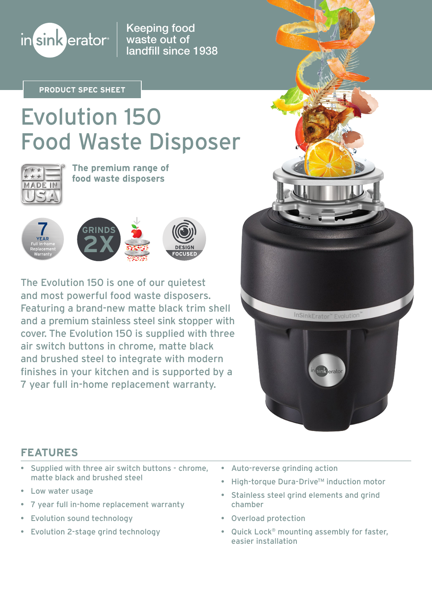

Keeping food waste out of landfill since 1938

**PRODUCT SPEC SHEET**

# Evolution 150 Food Waste Disposer



**The premium range of food waste disposers**



The Evolution 150 is one of our quietest and most powerful food waste disposers. Featuring a brand-new matte black trim shell and a premium stainless steel sink stopper with cover. The Evolution 150 is supplied with three air switch buttons in chrome, matte black and brushed steel to integrate with modern finishes in your kitchen and is supported by a 7 year full in-home replacement warranty.

InSinkErator<sup>™</sup> Fvolution

## **FEATURES**

- Supplied with three air switch buttons chrome, matte black and brushed steel
- Low water usage
- 7 year full in-home replacement warranty
- Evolution sound technology
- Evolution 2-stage grind technology
- Auto-reverse grinding action
- High-torque Dura-Drive<sup>™</sup> induction motor
- Stainless steel grind elements and grind chamber
- Overload protection
- Quick Lock® mounting assembly for faster, easier installation